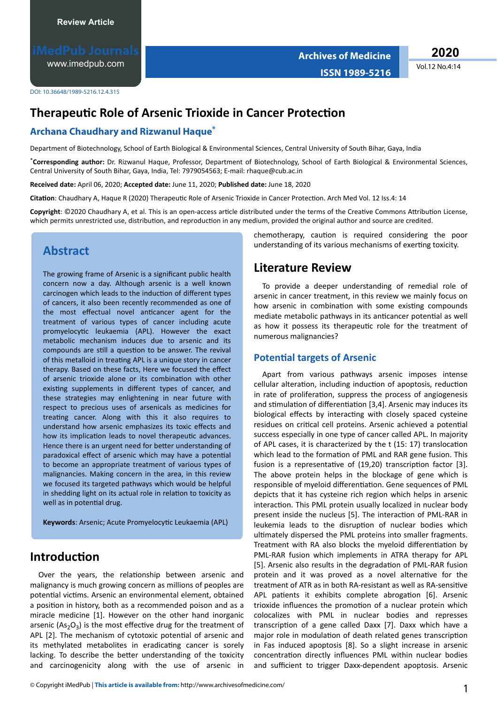[www.imedpub.com](http://www.imedpub.com/)

**Archives of Medicine ISSN 1989-5216** **2020**

Vol.12 No.4:14

DOI: 10.36648/1989-5216.12.4.315

# **Therapeutic Role of Arsenic Trioxide in Cancer Protection**

### **Archana Chaudhary and Rizwanul Haque\***

Department of Biotechnology, School of Earth Biological & Environmental Sciences, Central University of South Bihar, Gaya, India

\***Corresponding author:** Dr. Rizwanul Haque, Professor, Department of Biotechnology, School of Earth Biological & Environmental Sciences, Central University of South Bihar, Gaya, India, Tel: 7979054563; E-mail: rhaque@cub.ac.in

**Received date:** April 06, 2020; **Accepted date:** June 11, 2020; **Published date:** June 18, 2020

**Citation**: Chaudhary A, Haque R (2020) Therapeutic Role of Arsenic Trioxide in Cancer Protection. Arch Med Vol. 12 Iss.4: 14

Copyright: ©2020 Chaudhary A, et al. This is an open-access article distributed under the terms of the Creative Commons Attribution License, which permits unrestricted use, distribution, and reproduction in any medium, provided the original author and source are credited.

## **Abstract**

The growing frame of Arsenic is a significant public health concern now a day. Although arsenic is a well known carcinogen which leads to the induction of different types of cancers, it also been recently recommended as one of the most effectual novel anticancer agent for the treatment of various types of cancer including acute promyelocytic leukaemia (APL). However the exact metabolic mechanism induces due to arsenic and its compounds are still a question to be answer. The revival of this metalloid in treating APL is a unique story in cancer therapy. Based on these facts, Here we focused the effect of arsenic trioxide alone or its combination with other existing supplements in different types of cancer, and these strategies may enlightening in near future with respect to precious uses of arsenicals as medicines for treating cancer. Along with this it also requires to understand how arsenic emphasizes its toxic effects and how its implication leads to novel therapeutic advances. Hence there is an urgent need for better understanding of paradoxical effect of arsenic which may have a potential to become an appropriate treatment of various types of malignancies. Making concern in the area, in this review we focused its targeted pathways which would be helpful in shedding light on its actual role in relation to toxicity as well as in potential drug.

Keywords: Arsenic; Acute Promyelocytic Leukaemia (APL)

## **Introduction**

Over the years, the relationship between arsenic and malignancy is much growing concern as millions of peoples are potential victims. Arsenic an environmental element, obtained a position in history, both as a recommended poison and as a miracle medicine [1]. However on the other hand inorganic arsenic ( $As<sub>2</sub>O<sub>3</sub>$ ) is the most effective drug for the treatment of APL [2]. The mechanism of cytotoxic potential of arsenic and its methylated metabolites in eradicating cancer is sorely lacking. To describe the better understanding of the toxicity and carcinogenicity along with the use of arsenic in chemotherapy, caution is required considering the poor understanding of its various mechanisms of exerting toxicity.

## **Literature Review**

To provide a deeper understanding of remedial role of arsenic in cancer treatment, in this review we mainly focus on how arsenic in combination with some existing compounds mediate metabolic pathways in its anticancer potential as well as how it possess its therapeutic role for the treatment of numerous malignancies?

#### **Potential targets of Arsenic**

Apart from various pathways arsenic imposes intense cellular alteration, including induction of apoptosis, reduction in rate of proliferation, suppress the process of angiogenesis and stimulation of differentiation [3,4]. Arsenic may induces its biological effects by interacting with closely spaced cysteine residues on critical cell proteins. Arsenic achieved a potential success especially in one type of cancer called APL. In majority of APL cases, it is characterized by the  $t$  (15: 17) translocation which lead to the formation of PML and RAR gene fusion. This fusion is a representative of (19,20) transcription factor [3]. The above protein helps in the blockage of gene which is responsible of myeloid differentiation. Gene sequences of PML depicts that it has cysteine rich region which helps in arsenic interaction. This PML protein usually localized in nuclear body present inside the nucleus [5]. The interaction of PML-RAR in leukemia leads to the disruption of nuclear bodies which ultimately dispersed the PML proteins into smaller fragments. Treatment with RA also blocks the myeloid differentiation by PML-RAR fusion which implements in ATRA therapy for APL [5]. Arsenic also results in the degradation of PML-RAR fusion protein and it was proved as a novel alternative for the treatment of ATR as in both RA-resistant as well as RA-sensitive APL patients it exhibits complete abrogation [6]. Arsenic trioxide influences the promotion of a nuclear protein which colocalizes with PML in nuclear bodies and represses transcription of a gene called Daxx [7]. Daxx which have a major role in modulation of death related genes transcription in Fas induced apoptosis [8]. So a slight increase in arsenic concentration directly influences PML within nuclear bodies and sufficient to trigger Daxx-dependent apoptosis. Arsenic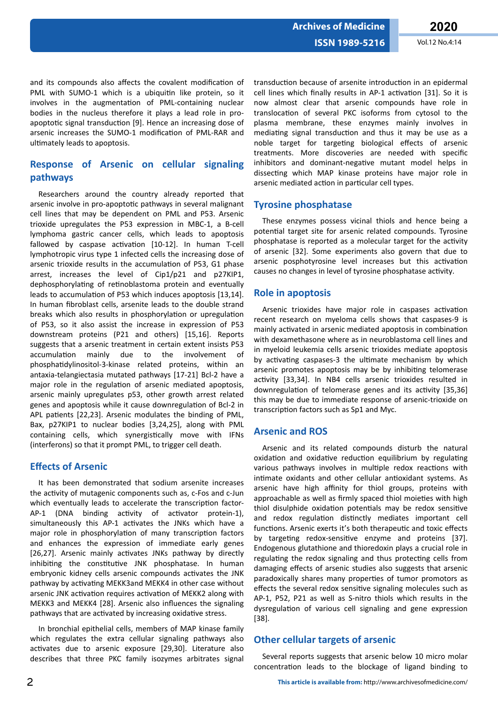**ISSN 1989-5216** Vol.12 No.4:14

and its compounds also affects the covalent modification of PML with SUMO-1 which is a ubiquitin like protein, so it involves in the augmentation of PML-containing nuclear bodies in the nucleus therefore it plays a lead role in proapoptotic signal transduction [9]. Hence an increasing dose of arsenic increases the SUMO-1 modification of PML-RAR and ultimately leads to apoptosis.

## **Response of Arsenic on cellular signaling pathways**

Researchers around the country already reported that arsenic involve in pro-apoptotic pathways in several malignant cell lines that may be dependent on PML and P53. Arsenic trioxide upregulates the P53 expression in MBC-1, a B-cell lymphoma gastric cancer cells, which leads to apoptosis fallowed by caspase activation [10-12]. In human T-cell lymphotropic virus type 1 infected cells the increasing dose of arsenic trioxide results in the accumulation of P53, G1 phase arrest, increases the level of Cip1/p21 and p27KIP1, dephosphorylating of retinoblastoma protein and eventually leads to accumulation of P53 which induces apoptosis [13,14]. In human fibroblast cells, arsenite leads to the double strand breaks which also results in phosphorylation or upregulation of P53, so it also assist the increase in expression of P53 downstream proteins (P21 and others) [15,16]. Reports suggests that a arsenic treatment in certain extent insists P53 accumulation mainly due to the involvement of phosphatidylinositol-3-kinase related proteins, within an antaxia-telangiectasia mutated pathways [17-21] Bcl-2 have a major role in the regulation of arsenic mediated apoptosis, arsenic mainly upregulates p53, other growth arrest related genes and apoptosis while it cause downregulation of Bcl-2 in APL patients [22,23]. Arsenic modulates the binding of PML, Bax, p27KIP1 to nuclear bodies [3,24,25], along with PML containing cells, which synergistically move with IFNs (interferons) so that it prompt PML, to trigger cell death.

## *<u>Effects of Arsenic</u>*

It has been demonstrated that sodium arsenite increases the activity of mutagenic components such as, c-Fos and c-Jun which eventually leads to accelerate the transcription factor-AP-1 (DNA binding activity of activator protein-1), simultaneously this AP-1 activates the JNKs which have a major role in phosphorylation of many transcription factors and enhances the expression of immediate early genes [26,27]. Arsenic mainly activates JNKs pathway by directly inhibiting the constitutive JNK phosphatase. In human embryonic kidney cells arsenic compounds activates the JNK pathway by activating MEKK3and MEKK4 in other case without arsenic JNK activation requires activation of MEKK2 along with MEKK3 and MEKK4 [28]. Arsenic also influences the signaling pathways that are activated by increasing oxidative stress.

In bronchial epithelial cells, members of MAP kinase family which regulates the extra cellular signaling pathways also activates due to arsenic exposure [29,30]. Literature also describes that three PKC family isozymes arbitrates signal

transduction because of arsenite introduction in an epidermal cell lines which finally results in AP-1 activation [31]. So it is now almost clear that arsenic compounds have role in translocation of several PKC isoforms from cytosol to the plasma membrane, these enzymes mainly involves in mediating signal transduction and thus it may be use as a noble target for targeting biological effects of arsenic treatments. More discoveries are needed with specific inhibitors and dominant-negative mutant model helps in dissecting which MAP kinase proteins have major role in arsenic mediated action in particular cell types.

## **Tyrosine phosphatase**

These enzymes possess vicinal thiols and hence being a potential target site for arsenic related compounds. Tyrosine phosphatase is reported as a molecular target for the activity of arsenic [32]. Some experiments also govern that due to arsenic posphotyrosine level increases but this activation causes no changes in level of tyrosine phosphatase activity.

## **Role in apoptosis**

Arsenic trioxides have major role in caspases activation recent research on myeloma cells shows that caspases-9 is mainly activated in arsenic mediated apoptosis in combination with dexamethasone where as in neuroblastoma cell lines and in myeloid leukemia cells arsenic trioxides mediate apoptosis by activating caspases-3 the ultimate mechanism by which arsenic promotes apoptosis may be by inhibiting telomerase activity [33,34]. In NB4 cells arsenic trioxides resulted in downregulation of telomerase genes and its activity [35,36] this may be due to immediate response of arsenic-trioxide on transcription factors such as Sp1 and Myc.

## **Arsenic and ROS**

Arsenic and its related compounds disturb the natural oxidation and oxidative reduction equilibrium by regulating various pathways involves in multiple redox reactions with intimate oxidants and other cellular antioxidant systems. As arsenic have high affinity for thiol groups, proteins with approachable as well as firmly spaced thiol moieties with high thiol disulphide oxidation potentials may be redox sensitive and redox regulation distinctly mediates important cell functions. Arsenic exerts it's both therapeutic and toxic effects by targeting redox-sensitive enzyme and proteins [37]. Endogenous glutathione and thioredoxin plays a crucial role in regulating the redox signaling and thus protecting cells from damaging effects of arsenic studies also suggests that arsenic paradoxically shares many properties of tumor promotors as effects the several redox sensitive signaling molecules such as AP-1, P52, P21 as well as S-nitro thiols which results in the dysregulation of various cell signaling and gene expression [38].

## **Other cellular targets of arsenic**

Several reports suggests that arsenic below 10 micro molar concentration leads to the blockage of ligand binding to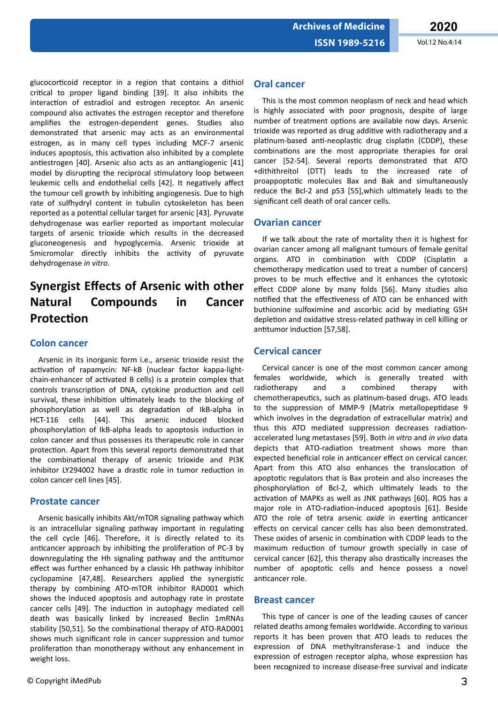Vol.12 No.4:14

glucocorticoid receptor in a region that contains a dithiol critical to proper ligand binding [39]. It also inhibits the interaction of estradiol and estrogen receptor. An arsenic compound also activates the estrogen receptor and therefore amplifies the estrogen-dependent genes. Studies also demonstrated that arsenic may acts as an environmental estrogen, as in many cell types including MCF-7 arsenic induces apoptosis, this activation also inhibited by a complete antiestrogen [40]. Arsenic also acts as an antiangiogenic [41] model by disrupting the reciprocal stimulatory loop between leukemic cells and endothelial cells [42]. It negatively affect the tumour cell growth by inhibiting angiogenesis. Due to high rate of sulfhydryl content in tubulin cytoskeleton has been reported as a potential cellular target for arsenic [43]. Pyruvate dehydrogenase was earlier reported as important molecular targets of arsenic trioxide which results in the decreased gluconeogenesis and hypoglycemia. Arsenic trioxide at 5micromolar directly inhibits the activity of pyruvate dehydrogenase in vitro.

#### **Synergist Effects of Arsenic with other Natural Compounds** <u>in</u> Cancer Protection

## **Colon cancer**

Arsenic in its inorganic form i.e., arsenic trioxide resist the activation of rapamycin: NF-kB (nuclear factor kappa-lightchain-enhancer of activated B cells) is a protein complex that controls transcription of DNA, cytokine production and cell survival, these inhibition ultimately leads to the blocking of phosphorylation as well as degradation of IkB-alpha in HCT-116 cells [44]. This arsenic induced hlocked phosphorylation of IkB-alpha leads to apoptosis induction in colon cancer and thus possesses its therapeutic role in cancer protection. Apart from this several reports demonstrated that the combinational therapy of arsenic trioxide and PI3K inhibitor LY294002 have a drastic role in tumor reduction in colon cancer cell lines [45].

## **Prostate cancer**

Arsenic basically inhibits Akt/mTOR signaling pathway which is an intracellular signaling pathway important in regulating the cell cycle [46]. Therefore, it is directly related to its anticancer approach by inhibiting the proliferation of PC-3 by downregulating the Hh signaling pathway and the antitumor effect was further enhanced by a classic Hh pathway inhibitor cyclopamine [47,48]. Researchers applied the synergistic therapy by combining ATO-mTOR inhibitor RAD001 which shows the induced apoptosis and autophagy rate in prostate cancer cells [49]. The induction in autophagy mediated cell death was basically linked by increased Beclin 1mRNAs stability [50,51]. So the combinational therapy of ATO-RAD001 shows much significant role in cancer suppression and tumor proliferation than monotherapy without any enhancement in weight loss.

This is the most common neoplasm of neck and head which is highly associated with poor prognosis, despite of large number of treatment options are available now days. Arsenic trioxide was reported as drug additive with radiotherapy and a platinum-based anti-neoplastic drug cisplatin (CDDP), these combinations are the most appropriate therapies for oral cancer [52-54]. Several reports demonstrated that ATO +dithithreitol (DTT) leads to the increased rate of proappoptotic molecules Bax and Bak and simultaneously reduce the Bcl-2 and p53 [55], which ultimately leads to the significant cell death of oral cancer cells.

## **Ovarian cancer**

If we talk about the rate of mortality then it is highest for ovarian cancer among all malignant tumours of female genital organs. ATO in combination with CDDP (Cisplatin a chemotherapy medication used to treat a number of cancers) proves to be much effective and it enhances the cytotoxic effect CDDP alone by many folds [56]. Many studies also notified that the effectiveness of ATO can be enhanced with buthionine sulfoximine and ascorbic acid by mediating GSH depletion and oxidative stress-related pathway in cell killing or antitumor induction [57,58].

## **Cervical cancer**

Cervical cancer is one of the most common cancer among females worldwide, which is generally treated with with radiotherapy and  $\mathsf{a}$ combined therapy chemotherapeutics, such as platinum-based drugs. ATO leads to the suppression of MMP-9 (Matrix metallopeptidase 9 which involves in the degradation of extracellular matrix) and thus this ATO mediated suppression decreases radiationaccelerated lung metastases [59]. Both in vitro and in vivo data depicts that ATO-radiation treatment shows more than expected beneficial role in anticancer effect on cervical cancer. Apart from this ATO also enhances the translocation of apoptotic regulators that is Bax protein and also increases the phosphorylation of Bcl-2, which ultimately leads to the activation of MAPKs as well as JNK pathways [60]. ROS has a major role in ATO-radiation-induced apoptosis [61]. Beside ATO the role of tetra arsenic oxide in exerting anticancer effects on cervical cancer cells has also been demonstrated. These oxides of arsenic in combination with CDDP leads to the maximum reduction of tumour growth specially in case of cervical cancer [62], this therapy also drastically increases the number of apoptotic cells and hence possess a novel anticancer role.

### **Breast cancer**

This type of cancer is one of the leading causes of cancer related deaths among females worldwide. According to various reports it has been proven that ATO leads to reduces the expression of DNA methyltransferase-1 and induce the expression of estrogen receptor alpha, whose expression has been recognized to increase disease-free survival and indicate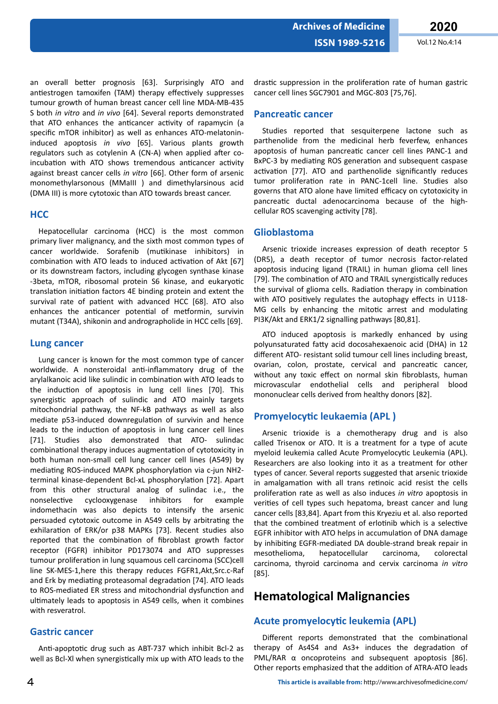Vol.12 No.4:14

an overall better prognosis [63]. Surprisingly ATO and antiestrogen tamoxifen (TAM) therapy effectively suppresses tumour growth of human breast cancer cell line MDA-MB-435 S both in vitro and in vivo [64]. Several reports demonstrated that ATO enhances the anticancer activity of rapamycin (a specific mTOR inhibitor) as well as enhances ATO-melatonininduced apoptosis in vivo [65]. Various plants growth regulators such as cotylenin A (CN-A) when applied after coincubation with ATO shows tremendous anticancer activity against breast cancer cells in vitro [66]. Other form of arsenic monomethylarsonous (MMaIII) and dimethylarsinous acid (DMA III) is more cytotoxic than ATO towards breast cancer.

#### **HCC**

Hepatocellular carcinoma (HCC) is the most common primary liver malignancy, and the sixth most common types of cancer worldwide. Sorafenib (mutikinase inhibitors) in combination with ATO leads to induced activation of Akt [67] or its downstream factors, including glycogen synthase kinase -3beta, mTOR, ribosomal protein S6 kinase, and eukaryotic translation initiation factors 4E binding protein and extent the survival rate of patient with advanced HCC [68]. ATO also enhances the anticancer potential of metformin, survivin mutant (T34A), shikonin and andrographolide in HCC cells [69].

#### **Lung cancer**

Lung cancer is known for the most common type of cancer worldwide. A nonsteroidal anti-inflammatory drug of the arylalkanoic acid like sulindic in combination with ATO leads to the induction of apoptosis in lung cell lines [70]. This synergistic approach of sulindic and ATO mainly targets mitochondrial pathway, the NF-kB pathways as well as also mediate p53-induced downregulation of survivin and hence leads to the induction of apoptosis in lung cancer cell lines [71]. Studies also demonstrated that ATO- sulindac combinational therapy induces augmentation of cytotoxicity in both human non-small cell lung cancer cell lines (A549) by mediating ROS-induced MAPK phosphorylation via c-jun NH2terminal kinase-dependent Bcl-xL phosphorylation [72]. Apart from this other structural analog of sulindac i.e., the nonselective cyclooxygenase inhibitors for example indomethacin was also depicts to intensify the arsenic persuaded cytotoxic outcome in A549 cells by arbitrating the exhilaration of ERK/or p38 MAPKs [73]. Recent studies also reported that the combination of fibroblast growth factor receptor (FGFR) inhibitor PD173074 and ATO suppresses tumour proliferation in lung squamous cell carcinoma (SCC)cell line SK-MES-1, here this therapy reduces FGFR1, Akt, Src.c-Raf and Erk by mediating proteasomal degradation [74]. ATO leads to ROS-mediated ER stress and mitochondrial dysfunction and ultimately leads to apoptosis in A549 cells, when it combines with resveratrol.

#### **Gastric cancer**

Anti-apoptotic drug such as ABT-737 which inhibit Bcl-2 as well as Bcl-XI when synergistically mix up with ATO leads to the

#### **Pancreatic cancer**

Studies reported that sesquiterpene lactone such as parthenolide from the medicinal herb feverfew, enhances apoptosis of human pancreatic cancer cell lines PANC-1 and BxPC-3 by mediating ROS generation and subsequent caspase activation [77]. ATO and parthenolide significantly reduces tumor proliferation rate in PANC-1cell line. Studies also governs that ATO alone have limited efficacy on cytotoxicity in pancreatic ductal adenocarcinoma because of the highcellular ROS scavenging activity [78].

#### Glioblastoma

Arsenic trioxide increases expression of death receptor 5 (DR5), a death receptor of tumor necrosis factor-related apoptosis inducing ligand (TRAIL) in human glioma cell lines [79]. The combination of ATO and TRAIL synergistically reduces the survival of glioma cells. Radiation therapy in combination with ATO positively regulates the autophagy effects in U118-MG cells by enhancing the mitotic arrest and modulating PI3K/Akt and ERK1/2 signalling pathways [80,81].

ATO induced apoptosis is markedly enhanced by using polyunsaturated fatty acid docosahexaenoic acid (DHA) in 12 different ATO- resistant solid tumour cell lines including breast, ovarian, colon, prostate, cervical and pancreatic cancer, without any toxic effect on normal skin fibroblasts, human microvascular endothelial cells and peripheral blood mononuclear cells derived from healthy donors [82].

### **Promyelocytic leukaemia (APL)**

Arsenic trioxide is a chemotherapy drug and is also called Trisenox or ATO. It is a treatment for a type of acute myeloid leukemia called Acute Promyelocytic Leukemia (APL). Researchers are also looking into it as a treatment for other types of cancer. Several reports suggested that arsenic trioxide in amalgamation with all trans retinoic acid resist the cells proliferation rate as well as also induces in vitro apoptosis in verities of cell types such hepatoma, breast cancer and lung cancer cells [83,84]. Apart from this Kryeziu et al. also reported that the combined treatment of erlotinib which is a selective EGFR inhibitor with ATO helps in accumulation of DNA damage by inhibiting EGFR-mediated DA double-strand break repair in mesothelioma, hepatocellular carcinoma, colorectal carcinoma, thyroid carcinoma and cervix carcinoma in vitro  $[85]$ .

## **Hematological Malignancies**

## Acute promyelocytic leukemia (APL)

Different reports demonstrated that the combinational therapy of As4S4 and As3+ induces the degradation of PML/RAR  $\alpha$  oncoproteins and subsequent apoptosis [86]. Other reports emphasized that the addition of ATRA-ATO leads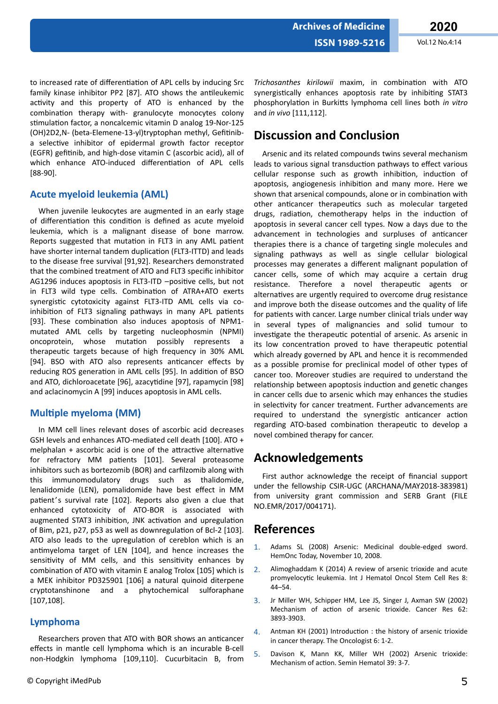Vol.12 No.4:14

to increased rate of differentiation of APL cells by inducing Src family kinase inhibitor PP2 [87]. ATO shows the antileukemic activity and this property of ATO is enhanced by the combination therapy with- granulocyte monocytes colony stimulation factor, a noncalcemic vitamin D analog 19-Nor-125 (OH)2D2,N- (beta-Elemene-13-yl)tryptophan methyl, Gefitiniba selective inhibitor of epidermal growth factor receptor (EGFR) gefitinib, and high-dose vitamin C (ascorbic acid), all of which enhance ATO-induced differentiation of APL cells  $[88-90]$ .

### Acute myeloid leukemia (AML)

When juvenile leukocytes are augmented in an early stage of differentiation this condition is defined as acute myeloid leukemia, which is a malignant disease of bone marrow. Reports suggested that mutation in FLT3 in any AML patient have shorter internal tandem duplication (FLT3-ITTD) and leads to the disease free survival [91,92]. Researchers demonstrated that the combined treatment of ATO and FLT3 specific inhibitor AG1296 induces apoptosis in FLT3-ITD -positive cells, but not in FLT3 wild type cells. Combination of ATRA+ATO exerts synergistic cytotoxicity against FLT3-ITD AML cells via coinhibition of FLT3 signaling pathways in many APL patients [93]. These combination also induces apoptosis of NPM1mutated AML cells by targeting nucleophosmin (NPMI) oncoprotein, whose mutation possibly represents a therapeutic targets because of high frequency in 30% AML [94]. BSO with ATO also represents anticancer effects by reducing ROS generation in AML cells [95]. In addition of BSO and ATO, dichloroacetate [96], azacytidine [97], rapamycin [98] and aclacinomycin A [99] induces apoptosis in AML cells.

## **Multiple myeloma (MM)**

In MM cell lines relevant doses of ascorbic acid decreases GSH levels and enhances ATO-mediated cell death [100]. ATO + melphalan + ascorbic acid is one of the attractive alternative for refractory MM patients [101]. Several proteasome inhibitors such as bortezomib (BOR) and carfilzomib along with this immunomodulatory drugs such as thalidomide, lenalidomide (LEN), pomalidomide have best effect in MM patient's survival rate [102]. Reports also given a clue that enhanced cytotoxicity of ATO-BOR is associated with augmented STAT3 inhibition, JNK activation and upregulation of Bim, p21, p27, p53 as well as downregulation of Bcl-2 [103]. ATO also leads to the upregulation of cereblon which is an antimyeloma target of LEN [104], and hence increases the sensitivity of MM cells, and this sensitivity enhances by combination of ATO with vitamin E analog Trolox [105] which is a MEK inhibitor PD325901 [106] a natural quinoid diterpene cryptotanshinone and a phytochemical sulforaphane  $[107, 108]$ .

## Lymphoma

Researchers proven that ATO with BOR shows an anticancer effects in mantle cell lymphoma which is an incurable B-cell non-Hodgkin lymphoma [109,110]. Cucurbitacin B, from

Trichosanthes kirilowii maxim, in combination with ATO synergistically enhances apoptosis rate by inhibiting STAT3 phosphorylation in Burkitts lymphoma cell lines both in vitro and in vivo [111,112].

## **Discussion and Conclusion**

Arsenic and its related compounds twins several mechanism leads to various signal transduction pathways to effect various cellular response such as growth inhibition, induction of apoptosis, angiogenesis inhibition and many more. Here we shown that arsenical compounds, alone or in combination with other anticancer therapeutics such as molecular targeted drugs, radiation, chemotherapy helps in the induction of apoptosis in several cancer cell types. Now a days due to the advancement in technologies and surpluses of anticancer therapies there is a chance of targeting single molecules and signaling pathways as well as single cellular biological processes may generates a different malignant population of cancer cells, some of which may acquire a certain drug resistance. Therefore a novel therapeutic agents or alternatives are urgently required to overcome drug resistance and improve both the disease outcomes and the quality of life for patients with cancer. Large number clinical trials under way in several types of malignancies and solid tumour to investigate the therapeutic potential of arsenic. As arsenic in its low concentration proved to have therapeutic potential which already governed by APL and hence it is recommended as a possible promise for preclinical model of other types of cancer too. Moreover studies are required to understand the relationship between apoptosis induction and genetic changes in cancer cells due to arsenic which may enhances the studies in selectivity for cancer treatment. Further advancements are required to understand the synergistic anticancer action regarding ATO-based combination therapeutic to develop a novel combined therapy for cancer.

## **Acknowledgements**

First author acknowledge the receipt of financial support under the fellowship CSIR-UGC (ARCHANA/MAY2018-383981) from university grant commission and SERB Grant (FILE NO.EMR/2017/004171).

## **References**

- Adams SL (2008) Arsenic: Medicinal double-edged sword.  $\mathbf{1}$ HemOnc Today, November 10, 2008.
- $2.$ Alimoghaddam K (2014) A review of arsenic trioxide and acute promyelocytic leukemia. Int J Hematol Oncol Stem Cell Res 8:  $44 - 54$ .
- Jr Miller WH, Schipper HM, Lee JS, Singer J, Axman SW (2002)  $3<sub>1</sub>$ Mechanism of action of arsenic trioxide. Cancer Res 62: 3893-3903
- Antman KH (2001) Introduction: the history of arsenic trioxide 4. in cancer therapy. The Oncologist 6: 1-2.
- 5. Davison K, Mann KK, Miller WH (2002) Arsenic trioxide: Mechanism of action. Semin Hematol 39: 3-7.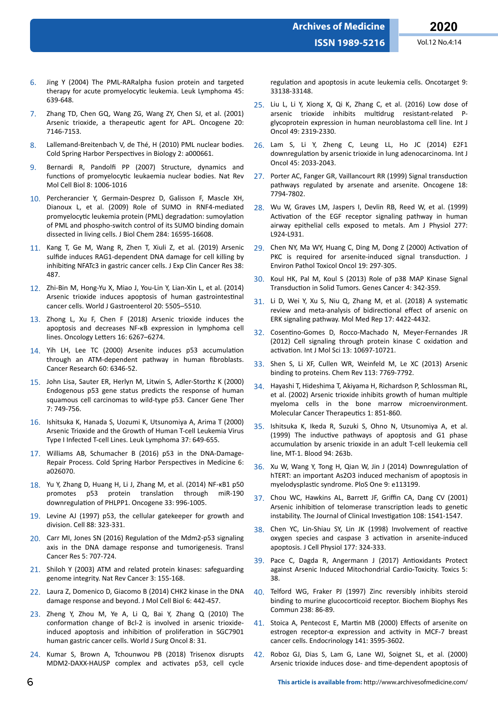- 6. Jing Y (2004) The PML-RARalpha fusion protein and targeted therapy for acute promyelocytic leukemia. Leuk Lymphoma 45: 639-648.
- 7. Zhang TD, Chen GQ, Wang ZG, Wang ZY, Chen SJ, et al. (2001) Arsenic trioxide, a therapeutic agent for APL. Oncogene 20: 7146-7153.
- 8. Lallemand-Breitenbach V, de Thé, H (2010) PML nuclear bodies. Cold Spring Harbor Perspectives in Biology 2: a000661.
- 9. Bernardi R, Pandolfi PP (2007) Structure, dynamics and functions of promyelocytic leukaemia nuclear bodies. Nat Rev Mol Cell Biol 8: 1006-1016
- 10. Percherancier Y, Germain-Desprez D, Galisson F, Mascle XH, Dianoux L, et al. (2009) Role of SUMO in RNF4-mediated promyelocytic leukemia protein (PML) degradation: sumoylation of PML and phospho-switch control of its SUMO binding domain dissected in living cells. J Biol Chem 284: 16595-16608.
- 11. Kang T, Ge M, Wang R, Zhen T, Xiuli Z, et al. (2019) Arsenic sulfide induces RAG1-dependent DNA damage for cell killing by inhibiting NFATc3 in gastric cancer cells. J Exp Clin Cancer Res 38: 487.
- 12. Zhi-Bin M, Hong-Yu X, Miao J, You-Lin Y, Lian-Xin L, et al. (2014) Arsenic trioxide induces apoptosis of human gastrointestinal cancer cells. World J Gastroenterol 20: 5505–5510.
- 13. Zhong L, Xu F, Chen F (2018) Arsenic trioxide induces the apoptosis and decreases NF-κB expression in lymphoma cell lines. Oncology Letters 16: 6267–6274.
- 14. Yih LH, Lee TC (2000) Arsenite induces p53 accumulation through an ATM-dependent pathway in human fibroblasts. Cancer Research 60: 6346-52.
- 15. John Lisa, Sauter ER, Herlyn M, Litwin S, Adler-Storthz K (2000) Endogenous p53 gene status predicts the response of human squamous cell carcinomas to wild-type p53. Cancer Gene Ther 7: 749-756.
- 16. Ishitsuka K, Hanada S, Uozumi K, Utsunomiya A, Arima T (2000) Arsenic Trioxide and the Growth of Human T-cell Leukemia Virus Type I Infected T-cell Lines. Leuk Lymphoma 37: 649-655.
- 17. Williams AB, Schumacher B (2016) p53 in the DNA-Damage-Repair Process. Cold Spring Harbor Perspectives in Medicine 6: a026070.
- 18. Yu Y, Zhang D, Huang H, Li J, Zhang M, et al. (2014) NF-κB1 p50 promotes p53 protein translation through miR-190 downregulation of PHLPP1. Oncogene 33: 996-1005.
- 19. Levine AJ (1997) p53, the cellular gatekeeper for growth and division. Cell 88: 323-331.
- 20. Carr MI, Jones SN (2016) Regulation of the Mdm2-p53 signaling axis in the DNA damage response and tumorigenesis. Transl Cancer Res 5: 707-724.
- 21. Shiloh Y (2003) ATM and related protein kinases: safeguarding genome integrity. Nat Rev Cancer 3: 155-168.
- 22. Laura Z, Domenico D, Giacomo B (2014) CHK2 kinase in the DNA damage response and beyond. J Mol Cell Biol 6: 442-457.
- 23. Zheng Y, Zhou M, Ye A, Li Q, Bai Y, Zhang Q (2010) The conformation change of Bcl-2 is involved in arsenic trioxideinduced apoptosis and inhibition of proliferation in SGC7901 human gastric cancer cells. World J Surg Oncol 8: 31.
- 24. Kumar S, Brown A, Tchounwou PB (2018) Trisenox disrupts MDM2-DAXX-HAUSP complex and activates p53, cell cycle

regulation and apoptosis in acute leukemia cells. Oncotarget 9: 33138-33148.

- 25. Liu L, Li Y, Xiong X, Qi K, Zhang C, et al. (2016) Low dose of arsenic trioxide inhibits multidrug resistant-related Pglycoprotein expression in human neuroblastoma cell line. Int J Oncol 49: 2319-2330.
- 26. Lam S, Li Y, Zheng C, Leung LL, Ho JC (2014) E2F1 downregulation by arsenic trioxide in lung adenocarcinoma. Int J Oncol 45: 2033-2043.
- 27. Porter AC, Fanger GR, Vaillancourt RR (1999) Signal transduction pathways regulated by arsenate and arsenite. Oncogene 18: 7794-7802.
- 28. Wu W, Graves LM, Jaspers I, Devlin RB, Reed W, et al. (1999) Activation of the EGF receptor signaling pathway in human airway epithelial cells exposed to metals. Am J Physiol 277: L924-L931.
- 29. Chen NY, Ma WY, Huang C, Ding M, Dong Z (2000) Activation of PKC is required for arsenite-induced signal transduction. J Environ Pathol Toxicol Oncol 19: 297-305.
- 30. Koul HK, Pal M, Koul S (2013) Role of p38 MAP Kinase Signal Transduction in Solid Tumors. Genes Cancer 4: 342-359.
- 31. Li D, Wei Y, Xu S, Niu Q, Zhang M, et al. (2018) A systematic review and meta-analysis of bidirectional effect of arsenic on ERK signaling pathway. Mol Med Rep 17: 4422-4432.
- 32. Cosentino-Gomes D, Rocco-Machado N, Meyer-Fernandes JR (2012) Cell signaling through protein kinase C oxidation and activation. Int J Mol Sci 13: 10697-10721.
- 33. Shen S, Li XF, Cullen WR, Weinfeld M, Le XC (2013) Arsenic binding to proteins. Chem Rev 113: 7769-7792.
- 34. Hayashi T, Hideshima T, Akiyama H, Richardson P, Schlossman RL, et al. (2002) Arsenic trioxide inhibits growth of human multiple myeloma cells in the bone marrow microenvironment. Molecular Cancer Therapeutics 1: 851-860.
- 35. Ishitsuka K, Ikeda R, Suzuki S, Ohno N, Utsunomiya A, et al. (1999) The inductive pathways of apoptosis and G1 phase accumulation by arsenic trioxide in an adult T-cell leukemia cell line, MT-1. Blood 94: 263b.
- 36. Xu W, Wang Y, Tong H, Qian W, Jin J (2014) Downregulation of hTERT: an important As2O3 induced mechanism of apoptosis in myelodysplastic syndrome. PloS One 9: e113199.
- 37. Chou WC, Hawkins AL, Barrett JF, Griffin CA, Dang CV (2001) Arsenic inhibition of telomerase transcription leads to genetic instability. The Journal of Clinical Investigation 108: 1541-1547.
- 38. Chen YC, Lin-Shiau SY, Lin JK (1998) Involvement of reactive oxygen species and caspase 3 activation in arsenite-induced apoptosis. J Cell Physiol 177: 324-333.
- 39. Pace C, Dagda R, Angermann J (2017) Antioxidants Protect against Arsenic Induced Mitochondrial Cardio-Toxicity. Toxics 5: 38.
- 40. Telford WG, Fraker PJ (1997) Zinc reversibly inhibits steroid binding to murine glucocorticoid receptor. Biochem Biophys Res Commun 238: 86-89.
- 41. Stoica A, Pentecost E, Martin MB (2000) Effects of arsenite on estrogen receptor-α expression and activity in MCF-7 breast cancer cells. Endocrinology 141: 3595-3602.
- 42. Roboz GJ, Dias S, Lam G, Lane WJ, Soignet SL, et al. (2000) Arsenic trioxide induces dose- and time-dependent apoptosis of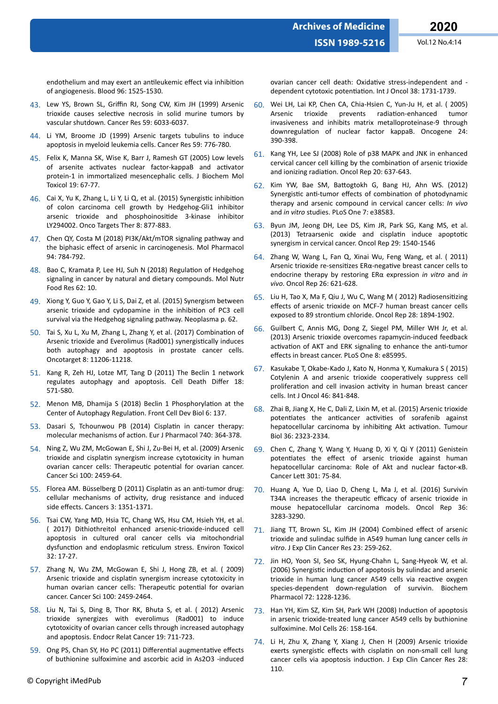- 43. Lew YS, Brown SL, Griffin RJ, Song CW, Kim JH (1999) Arsenic trioxide causes selective necrosis in solid murine tumors by vascular shutdown. Cancer Res 59: 6033-6037.
- 44. Li YM, Broome JD (1999) Arsenic targets tubulins to induce apoptosis in myeloid leukemia cells. Cancer Res 59: 776-780.
- 45. Felix K, Manna SK, Wise K, Barr J, Ramesh GT (2005) Low levels of arsenite activates nuclear factor-kappaB and activator protein-1 in immortalized mesencephalic cells. J Biochem Mol Toxicol 19: 67-77.
- 46. Cai X, Yu K, Zhang L, Li Y, Li Q, et al. (2015) Synergistic inhibition of colon carcinoma cell growth by Hedgehog-Gli1 inhibitor arsenic trioxide and phosphoinositide 3-kinase inhibitor LY294002. Onco Targets Ther 8: 877-883.
- 47. Chen QY, Costa M (2018) PI3K/Akt/mTOR signaling pathway and the biphasic effect of arsenic in carcinogenesis. Mol Pharmacol 94: 784-792.
- 48. Bao C, Kramata P, Lee HJ, Suh N (2018) Regulation of Hedgehog signaling in cancer by natural and dietary compounds. Mol Nutr Food Res 62: 10.
- 49. Xiong Y, Guo Y, Gao Y, Li S, Dai Z, et al. (2015) Synergism between arsenic trioxide and cydopamine in the inhibition of PC3 cell survival via the Hedgehog signaling pathway. Neoplasma p. 62.
- 50. Tai S, Xu L, Xu M, Zhang L, Zhang Y, et al. (2017) Combination of Arsenic trioxide and Everolimus (Rad001) synergistically induces both autophagy and apoptosis in prostate cancer cells. Oncotarget 8: 11206-11218.
- 51. Kang R, Zeh HJ, Lotze MT, Tang D (2011) The Beclin 1 network regulates autophagy and apoptosis. Cell Death Differ 18: 571-580.
- 52. Menon MB, Dhamija S (2018) Beclin 1 Phosphorylation at the Center of Autophagy Regulation. Front Cell Dev Biol 6: 137.
- 53. Dasari S, Tchounwou PB (2014) Cisplatin in cancer therapy: molecular mechanisms of action. Eur J Pharmacol 740: 364-378.
- 54. Ning Z, Wu ZM, McGowan E, Shi J, Zu-Bei H, et al. (2009) Arsenic trioxide and cisplatin synergism increase cytotoxicity in human ovarian cancer cells: Therapeutic potential for ovarian cancer. Cancer Sci 100: 2459-64.
- 55. Florea AM. Büsselberg D (2011) Cisplatin as an anti-tumor drug: cellular mechanisms of activity, drug resistance and induced side effects. Cancers 3: 1351-1371.
- 56. Tsai CW, Yang MD, Hsia TC, Chang WS, Hsu CM, Hsieh YH, et al. ( 2017) Dithiothreitol enhanced arsenic-trioxide-induced cell apoptosis in cultured oral cancer cells via mitochondrial dysfunction and endoplasmic reticulum stress. Environ Toxicol 32: 17-27.
- 57. Zhang N, Wu ZM, McGowan E, Shi J, Hong ZB, et al. ( 2009) Arsenic trioxide and cisplatin synergism increase cytotoxicity in human ovarian cancer cells: Therapeutic potential for ovarian cancer. Cancer Sci 100: 2459-2464.
- 58. Liu N, Tai S, Ding B, Thor RK, Bhuta S, et al. ( 2012) Arsenic trioxide synergizes with everolimus (Rad001) to induce cytotoxicity of ovarian cancer cells through increased autophagy and apoptosis. Endocr Relat Cancer 19: 711-723.
- 59. Ong PS, Chan SY, Ho PC (2011) Differential augmentative effects of buthionine sulfoximine and ascorbic acid in As2O3 -induced
- 60. Wei LH, Lai KP, Chen CA, Chia-Hsien C, Yun-Ju H, et al. ( 2005) Arsenic trioxide prevents radiation-enhanced tumor invasiveness and inhibits matrix metalloproteinase-9 through downregulation of nuclear factor kappaB. Oncogene 24: 390-398.
- 61. Kang YH, Lee SJ (2008) Role of p38 MAPK and JNK in enhanced cervical cancer cell killing by the combination of arsenic trioxide and ionizing radiation. Oncol Rep 20: 637-643.
- 62. Kim YW, Bae SM, Battogtokh G, Bang HJ, Ahn WS. (2012) Synergistic anti-tumor effects of combination of photodynamic therapy and arsenic compound in cervical cancer cells: *In vivo* and *in vitro* studies. PLoS One 7: e38583.
- 63. Byun JM, Jeong DH, Lee DS, Kim JR, Park SG, Kang MS, et al. (2013) Tetraarsenic oxide and cisplatin induce apoptotic synergism in cervical cancer. Oncol Rep 29: 1540-1546
- 64. Zhang W, Wang L, Fan Q, Xinai Wu, Feng Wang, et al. ( 2011) Arsenic trioxide re-sensitizes ERα-negative breast cancer cells to endocrine therapy by restoring ERα expression *in vitro* and *in vivo*. Oncol Rep 26: 621-628.
- 65. Liu H, Tao X, Ma F, Qiu J, Wu C, Wang M ( 2012) Radiosensitizing effects of arsenic trioxide on MCF-7 human breast cancer cells exposed to 89 strontium chloride. Oncol Rep 28: 1894-1902.
- 66. Guilbert C, Annis MG, Dong Z, Siegel PM, Miller WH Jr, et al. (2013) Arsenic trioxide overcomes rapamycin-induced feedback activation of AKT and ERK signaling to enhance the anti-tumor effects in breast cancer. PLoS One 8: e85995.
- 67. Kasukabe T, Okabe-Kado J, Kato N, Honma Y, Kumakura S ( 2015) Cotylenin A and arsenic trioxide cooperatively suppress cell proliferation and cell invasion activity in human breast cancer cells. Int J Oncol 46: 841-848.
- 68. Zhai B, Jiang X, He C, Dali Z, Lixin M, et al. (2015) Arsenic trioxide potentiates the anticancer activities of sorafenib against hepatocellular carcinoma by inhibiting Akt activation. Tumour Biol 36: 2323-2334.
- 69. Chen C, Zhang Y, Wang Y, Huang D, Xi Y, Qi Y (2011) Genistein potentiates the effect of arsenic trioxide against human hepatocellular carcinoma: Role of Akt and nuclear factor-κB. Cancer Lett 301: 75-84.
- 70. Huang A, Yue D, Liao D, Cheng L, Ma J, et al. (2016) Survivin T34A increases the therapeutic efficacy of arsenic trioxide in mouse hepatocellular carcinoma models. Oncol Rep 36: 3283-3290.
- 71. Jiang TT, Brown SL, Kim JH (2004) Combined effect of arsenic trioxide and sulindac sulfide in A549 human lung cancer cells in *vitro*. J Exp Clin Cancer Res 23: 259-262.
- 72. Jin HO, Yoon SI, Seo SK, Hyung-Chahn L, Sang-Hyeok W, et al. (2006) Synergistic induction of apoptosis by sulindac and arsenic trioxide in human lung cancer A549 cells via reactive oxygen species-dependent down-regulation of survivin. Biochem Pharmacol 72: 1228-1236.
- 73. Han YH, Kim SZ, Kim SH, Park WH (2008) Induction of apoptosis in arsenic trioxide-treated lung cancer A549 cells by buthionine sulfoximine. Mol Cells 26: 158-164.
- 74. Li H, Zhu X, Zhang Y, Xiang J, Chen H (2009) Arsenic trioxide exerts synergistic effects with cisplatin on non-small cell lung cancer cells via apoptosis induction. J Exp Clin Cancer Res 28: 110.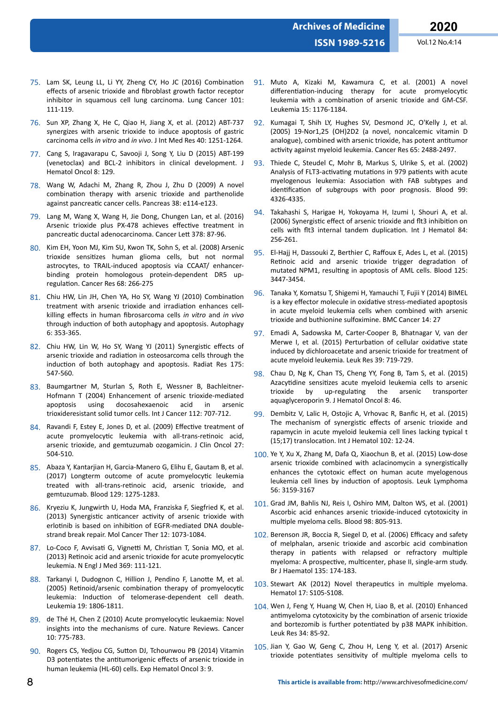- 75. Lam SK, Leung LL, Li YY, Zheng CY, Ho JC (2016) Combination effects of arsenic trioxide and fibroblast growth factor receptor inhibitor in squamous cell lung carcinoma. Lung Cancer 101: 111-119.
- 76. Sun XP, Zhang X, He C, Qiao H, Jiang X, et al. (2012) ABT-737 synergizes with arsenic trioxide to induce apoptosis of gastric carcinoma cells *in vitro* and *in vivo*. J Int Med Res 40: 1251-1264.
- 77. Cang S, Iragavarapu C, Savooji J, Song Y, Liu D (2015) ABT-199 (venetoclax) and BCL-2 inhibitors in clinical development. J Hematol Oncol 8: 129.
- 78. Wang W, Adachi M, Zhang R, Zhou J, Zhu D (2009) A novel combination therapy with arsenic trioxide and parthenolide against pancreatic cancer cells. Pancreas 38: e114-e123.
- 79. Lang M, Wang X, Wang H, Jie Dong, Chungen Lan, et al. (2016) Arsenic trioxide plus PX-478 achieves effective treatment in pancreatic ductal adenocarcinoma. Cancer Lett 378: 87-96.
- 80. Kim EH, Yoon MJ, Kim SU, Kwon TK, Sohn S, et al. (2008) Arsenic trioxide sensitizes human glioma cells, but not normal astrocytes, to TRAIL-induced apoptosis via CCAAT/ enhancerbinding protein homologous protein-dependent DR5 upregulation. Cancer Res 68: 266-275
- 81. Chiu HW, Lin JH, Chen YA, Ho SY, Wang YJ (2010) Combination treatment with arsenic trioxide and irradiation enhances cellkilling effects in human fibrosarcoma cells *in vitro* and *in vivo* through induction of both autophagy and apoptosis. Autophagy 6: 353-365.
- 82. Chiu HW, Lin W, Ho SY, Wang YJ (2011) Synergistic effects of arsenic trioxide and radiation in osteosarcoma cells through the induction of both autophagy and apoptosis. Radiat Res 175: 547-560.
- 83. Baumgartner M, Sturlan S, Roth E, Wessner B, Bachleitner-Hofmann T (2004) Enhancement of arsenic trioxide-mediated apoptosis using docosahexaenoic acid in arsenic trioxideresistant solid tumor cells. Int J Cancer 112: 707-712.
- 84. Ravandi F, Estey E, Jones D, et al. (2009) Effective treatment of acute promyelocytic leukemia with all-trans-retinoic acid, arsenic trioxide, and gemtuzumab ozogamicin. J Clin Oncol 27: 504-510.
- 85. Abaza Y, Kantarjian H, Garcia-Manero G, Elihu E, Gautam B, et al. (2017) Longterm outcome of acute promyelocytic leukemia treated with all-trans-retinoic acid, arsenic trioxide, and gemtuzumab. Blood 129: 1275-1283.
- 86. Kryeziu K, Jungwirth U, Hoda MA, Franziska F, Siegfried K, et al. (2013) Synergistic anticancer activity of arsenic trioxide with erlotinib is based on inhibition of EGFR-mediated DNA doublestrand break repair. Mol Cancer Ther 12: 1073-1084.
- 87. Lo-Coco F, Avvisati G, Vignetti M, Christian T, Sonia MO, et al. (2013) Retinoic acid and arsenic trioxide for acute promyelocytic leukemia. N Engl J Med 369: 111-121.
- 88. Tarkanyi I, Dudognon C, Hillion J, Pendino F, Lanotte M, et al. (2005) Retinoid/arsenic combination therapy of promyelocytic leukemia: Induction of telomerase-dependent cell death. Leukemia 19: 1806-1811.
- 89. de Thé H, Chen Z (2010) Acute promyelocytic leukaemia: Novel insights into the mechanisms of cure. Nature Reviews. Cancer 10: 775-783.
- 90. Rogers CS, Yedjou CG, Sutton DJ, Tchounwou PB (2014) Vitamin D3 potentiates the antitumorigenic effects of arsenic trioxide in human leukemia (HL-60) cells. Exp Hematol Oncol 3: 9.
- 91. Muto A, Kizaki M, Kawamura C, et al. (2001) A novel differentiation-inducing therapy for acute promyelocytic leukemia with a combination of arsenic trioxide and GM-CSF. Leukemia 15: 1176-1184.
- 92. Kumagai T, Shih LY, Hughes SV, Desmond JC, O'Kelly J, et al. (2005) 19-Nor1,25 (OH)2D2 (a novel, noncalcemic vitamin D analogue), combined with arsenic trioxide, has potent antitumor activity against myeloid leukemia. Cancer Res 65: 2488-2497.
- 93. Thiede C, Steudel C, Mohr B, Markus S, Ulrike S, et al. (2002) Analysis of FLT3-activating mutations in 979 patients with acute myelogenous leukemia: Association with FAB subtypes and identification of subgroups with poor prognosis. Blood 99: 4326-4335.
- 94. Takahashi S, Harigae H, Yokoyama H, Izumi I, Shouri A, et al. (2006) Synergistic effect of arsenic trioxide and flt3 inhibition on cells with flt3 internal tandem duplication. Int J Hematol 84: 256-261.
- 95. El-Hajj H, Dassouki Z, Berthier C, Raffoux E, Ades L, et al. (2015) Retinoic acid and arsenic trioxide trigger degradation of mutated NPM1, resulting in apoptosis of AML cells. Blood 125: 3447-3454.
- 96. Tanaka Y, Komatsu T, Shigemi H, Yamauchi T, Fujii Y (2014) BIMEL is a key effector molecule in oxidative stress-mediated apoptosis in acute myeloid leukemia cells when combined with arsenic trioxide and buthionine sulfoximine. BMC Cancer 14: 27
- 97. Emadi A, Sadowska M, Carter-Cooper B, Bhatnagar V, van der Merwe I, et al. (2015) Perturbation of cellular oxidative state induced by dichloroacetate and arsenic trioxide for treatment of acute myeloid leukemia. Leuk Res 39: 719-729.
- 98. Chau D, Ng K, Chan TS, Cheng YY, Fong B, Tam S, et al. (2015) Azacytidine sensitizes acute myeloid leukemia cells to arsenic trioxide by up-regulating the arsenic transporter aquaglyceroporin 9. J Hematol Oncol 8: 46.
- 99. Dembitz V, Lalic H, Ostojic A, Vrhovac R, Banfic H, et al. (2015) The mechanism of synergistic effects of arsenic trioxide and rapamycin in acute myeloid leukemia cell lines lacking typical t (15;17) translocation. Int J Hematol 102: 12-24.
- 100. Ye Y, Xu X, Zhang M, Dafa Q, Xiaochun B, et al. (2015) Low-dose arsenic trioxide combined with aclacinomycin a synergistically enhances the cytotoxic effect on human acute myelogenous leukemia cell lines by induction of apoptosis. Leuk Lymphoma 56: 3159-3167
- 101. Grad JM, Bahlis NJ, Reis I, Oshiro MM, Dalton WS, et al. (2001) Ascorbic acid enhances arsenic trioxide-induced cytotoxicity in multiple myeloma cells. Blood 98: 805-913.
- 102. Berenson JR, Boccia R, Siegel D, et al. (2006) Efficacy and safety of melphalan, arsenic trioxide and ascorbic acid combination therapy in patients with relapsed or refractory multiple myeloma: A prospective, multicenter, phase II, single-arm study. Br J Haematol 135: 174-183.
- 103. Stewart AK (2012) Novel therapeutics in multiple myeloma. Hematol 17: S105-S108.
- 104. Wen J, Feng Y, Huang W, Chen H, Liao B, et al. (2010) Enhanced antimyeloma cytotoxicity by the combination of arsenic trioxide and bortezomib is further potentiated by p38 MAPK inhibition. Leuk Res 34: 85-92.
- 105. Jian Y, Gao W, Geng C, Zhou H, Leng Y, et al. (2017) Arsenic trioxide potentiates sensitivity of multiple myeloma cells to